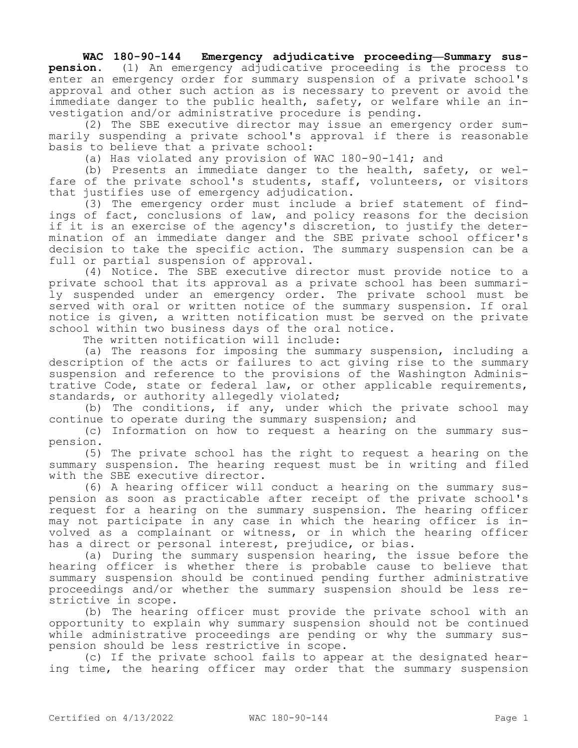## **WAC 180-90-144 Emergency adjudicative proceeding—Summary sus-**

**pension.** (1) An emergency adjudicative proceeding is the process to enter an emergency order for summary suspension of a private school's approval and other such action as is necessary to prevent or avoid the immediate danger to the public health, safety, or welfare while an investigation and/or administrative procedure is pending.

(2) The SBE executive director may issue an emergency order summarily suspending a private school's approval if there is reasonable basis to believe that a private school:

(a) Has violated any provision of WAC 180-90-141; and

(b) Presents an immediate danger to the health, safety, or welfare of the private school's students, staff, volunteers, or visitors that justifies use of emergency adjudication.

(3) The emergency order must include a brief statement of findings of fact, conclusions of law, and policy reasons for the decision if it is an exercise of the agency's discretion, to justify the determination of an immediate danger and the SBE private school officer's decision to take the specific action. The summary suspension can be a full or partial suspension of approval.

(4) Notice. The SBE executive director must provide notice to a private school that its approval as a private school has been summarily suspended under an emergency order. The private school must be served with oral or written notice of the summary suspension. If oral notice is given, a written notification must be served on the private school within two business days of the oral notice.

The written notification will include:

(a) The reasons for imposing the summary suspension, including a description of the acts or failures to act giving rise to the summary suspension and reference to the provisions of the Washington Administrative Code, state or federal law, or other applicable requirements, standards, or authority allegedly violated;

(b) The conditions, if any, under which the private school may continue to operate during the summary suspension; and

(c) Information on how to request a hearing on the summary suspension.

(5) The private school has the right to request a hearing on the summary suspension. The hearing request must be in writing and filed with the SBE executive director.

(6) A hearing officer will conduct a hearing on the summary suspension as soon as practicable after receipt of the private school's request for a hearing on the summary suspension. The hearing officer may not participate in any case in which the hearing officer is involved as a complainant or witness, or in which the hearing officer has a direct or personal interest, prejudice, or bias.

(a) During the summary suspension hearing, the issue before the hearing officer is whether there is probable cause to believe that summary suspension should be continued pending further administrative proceedings and/or whether the summary suspension should be less restrictive in scope.

(b) The hearing officer must provide the private school with an opportunity to explain why summary suspension should not be continued while administrative proceedings are pending or why the summary suspension should be less restrictive in scope.

(c) If the private school fails to appear at the designated hearing time, the hearing officer may order that the summary suspension